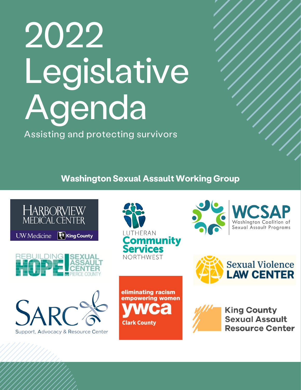# 2022 Legislative Agenda

Assisting and protecting survivors

**Washington Sexual Assault Working Group**

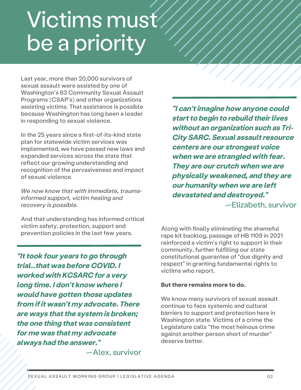# Victims must be a priority

Last year, more than 20,000 survivors of sexual assault were assisted by one of Washington's 63 Community Sexual Assault Programs (CSAP's) and other organizations assisting victims. That assistance is possible because Washington has long been a leader in responding to sexual violence.

In the 25 years since a first-of-its-kind state plan for statewide victim services was implemented, we have passed new laws and expanded services across the state that reflect our growing understanding and recognition of the pervasiveness and impact of sexual violence.

*We now know that with immediate, traumainformed support, victim healing and recovery is possible.*

And that understanding has informed critical victim safety, protection, support and prevention policies in the last few years.

*"Ittook four years to go through trial…that was before COVID. I worked with KCSARC for a very long time. I don't know where I would have gotten those updates from ifit wasn't my advocate. There are ways thatthe system is broken; the one thing that was consistent for me was that my advocate always had the answer."*

—Alex, survivor

*"I can'timagine how anyone could start to begin to rebuild their lives without an organization such as Tri-City SARC. Sexual assaultresource centers are our strongest voice when we are strangled with fear. They are our crutch when we are physically weakened, and they are our humanity when we are left devastated and destroyed."* —Elizabeth, survivor

Along with finally eliminating the shameful rape kit backlog, passage of HB 1109 in 2021 reinforced a victim's right to support in their community, further fulfilling our state constitutional guarantee of "due dignity and respect" in granting fundamental rights to victims who report.

#### **But there remains more to do.**

We know many survivors of sexual assault continue to face systemic and cultural barriers to support and protection here in Washington state. Victims of a crime the Legislature calls "the most heinous crime against another person short of murder" deserve better.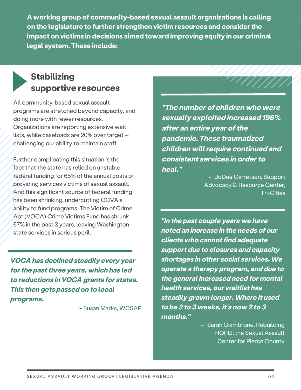**A working group of community-based sexual assault organizations is calling on the legislature to further strengthen victim resources and considerthe impact on victims in decisions aimed toward improving equity in our criminal legal system. These include:**

# **Stabilizing supportive resources**

All community-based sexual assault programs are stretched beyond capacity, and doing more with fewer resources. Organizations are reporting extensive wait lists, while caseloads are 20% over target challenging our ability to maintain staff.

Further complicating this situation is the fact that the state has relied on unstable federal funding for 65% of the annual costs of providing services victims of sexual assault. And this significant source of federal funding has been shrinking, undercutting OCVA's ability to fund programs. The Victim of Crime Act (VOCA) Crime Victims Fund has shrunk 67% in the past 3 years, leaving Washington state services in serious peril.

*VOCA has declined steadily every year forthe pastthree years, which has led to reductions in VOCA grants for states. This then gets passed on to local programs.*

—Susan Marks, WCSAP

*"The number of children who were sexually exploited increased 196% after an entire year ofthe pandemic. These traumatized children willrequire continued and consistent services in orderto heal."*

> — JoDee Garretson, Support Advocacy & Resource Center, Tri-Cities

*"In the past couple years we have noted an increase in the needs of our*  $clients$  *who cannot find adequate support due to closures and capacity shortages in other social services. We operate a therapy program, and due to the general increased need for mental health services, our waitlist has steadily grown longer. Where it used to be 2 to 3 weeks, it's now 2 to 3 months."*

> — Sarah Ciambrone, Rebuilding HOPE!, the Sexual Assault Center for Pierce County